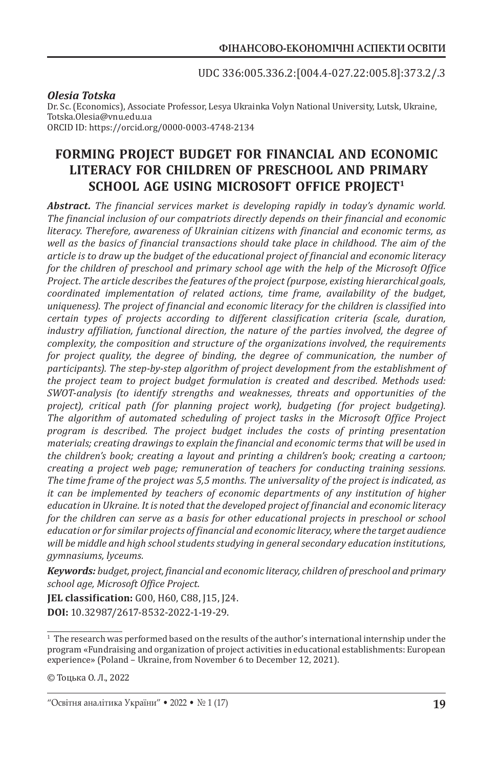UDC 336:005.336.2:[004.4-027.22:005.8]:373.2/.3

#### *Olesia Totska*

Dr. Sc. (Economics), Associate Professor, Lesya Ukrainka Volyn National University, Lutsk, Ukraine, Totska.Olesia@vnu.edu.ua ORCID ID: https://orcid.org/0000-0003-4748-2134

# **FORMING PROJECT BUDGET FOR FINANCIAL AND ECONOMIC LITERACY FOR CHILDREN OF PRESCHOOL AND PRIMARY SCHOOL AGE USING MICROSOFT OFFICE PROJECT1**

*Abstract. The financial services market is developing rapidly in today's dynamic world. The financial inclusion of our compatriots directly depends on their financial and economic literacy. Therefore, awareness of Ukrainian citizens with financial and economic terms, as well as the basics of financial transactions should take place in childhood. The aim of the article is to draw up the budget of the educational project of financial and economic literacy for the children of preschool and primary school age with the help of the Microsoft Office Project. The article describes the features of the project (purpose, existing hierarchical goals, coordinated implementation of related actions, time frame, availability of the budget, uniqueness). The project of financial and economic literacy for the children is classified into certain types of projects according to different classification criteria (scale, duration, industry affiliation, functional direction, the nature of the parties involved, the degree of complexity, the composition and structure of the organizations involved, the requirements for project quality, the degree of binding, the degree of communication, the number of participants). The step-by-step algorithm of project development from the establishment of the project team to project budget formulation is created and described. Methods used: SWOT-analysis (to identify strengths and weaknesses, threats and opportunities of the project), critical path (for planning project work), budgeting (for project budgeting). The algorithm of automated scheduling of project tasks in the Microsoft Office Project program is described. The project budget includes the costs of printing presentation materials; creating drawings to explain the financial and economic terms that will be used in the children's book; creating a layout and printing a children's book; creating a cartoon; creating a project web page; remuneration of teachers for conducting training sessions. The time frame of the project was 5,5 months. The universality of the project is indicated, as it can be implemented by teachers of economic departments of any institution of higher education in Ukraine. It is noted that the developed project of financial and economic literacy for the children can serve as a basis for other educational projects in preschool or school education or for similar projects of financial and economic literacy, where the target audience will be middle and high school students studying in general secondary education institutions, gymnasiums, lyceums.*

*Keywords: budget, project, financial and economic literacy, children of preschool and primary school age, Microsoft Office Project.*

**JEL classification:** G00, Н60, С88, J15, J24. **DOI:** 10.32987/2617-8532-2022-1-19-29.

<sup>1</sup> The research was performed based on the results of the author's international internship under the program «Fundraising and organization of project activities in educational establishments: European experience» (Poland – Ukraine, from November 6 to December 12, 2021).

<sup>©</sup> Тоцька О. Л., 2022

<sup>&</sup>quot;Освітня аналітика України" • 2022 • № 1 (17)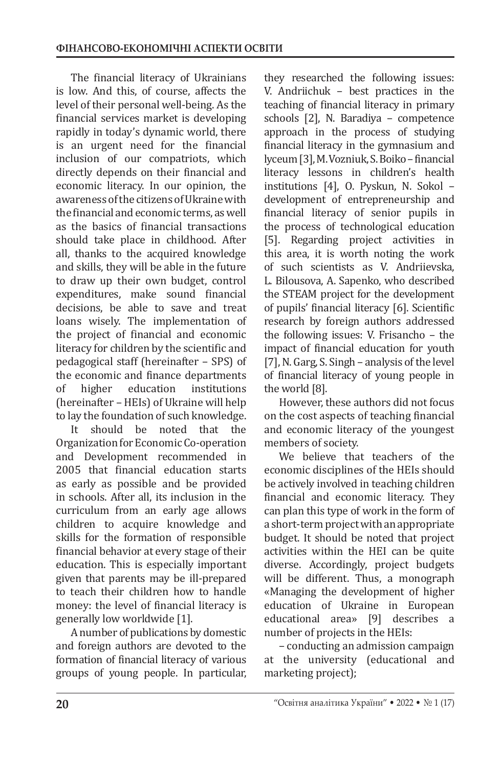The financial literacy of Ukrainians is low. And this, of course, affects the level of their personal well-being. As the financial services market is developing rapidly in today's dynamic world, there is an urgent need for the financial inclusion of our compatriots, which directly depends on their financial and economic literacy. In our opinion, the awareness of the citizens of Ukraine with the financial and economic terms, as well as the basics of financial transactions should take place in childhood. After all, thanks to the acquired knowledge and skills, they will be able in the future to draw up their own budget, control expenditures, make sound financial decisions, be able to save and treat loans wisely. The implementation of the project of financial and economic literacy for children by the scientific and pedagogical staff (hereinafter – SPS) of the economic and finance departments<br>of higher education institutions of higher education institutions (hereinafter – HEIs) of Ukraine will help to lay the foundation of such knowledge.<br>It should be noted that the

should be noted Organization for Economic Co-operation and Development recommended in 2005 that financial education starts as early as possible and be provided in schools. After all, its inclusion in the curriculum from an early age allows children to acquire knowledge and skills for the formation of responsible financial behavior at every stage of their education. This is especially important given that parents may be ill-prepared to teach their children how to handle money: the level of financial literacy is generally low worldwide [1].

A number of publications by domestic and foreign authors are devoted to the formation of financial literacy of various groups of young people. In particular,

they researched the following issues: V. Andriichuk – best practices in the teaching of financial literacy in primary schools [2], N. Baradiya – competence approach in the process of studying financial literacy in the gymnasium and lyceum [3], M.Vozniuk, S.Boiko– financial literacy lessons in children's health institutions [4], O. Pyskun, N. Sokol – development of entrepreneurship and financial literacy of senior pupils in the process of technological education [5]. Regarding project activities in this area, it is worth noting the work of such scientists as V. Andriievska, L. Bilousova, A. Sapenko, who described the STEAM project for the development of pupils' financial literacy [6]. Scientific research by foreign authors addressed the following issues: V. Frisancho – the impact of financial education for youth [7], N. Garg, S. Singh – analysis of the level of financial literacy of young people in the world [8].

However, these authors did not focus on the cost aspects of teaching financial and economic literacy of the youngest members of society.

We believe that teachers of the economic disciplines of the HEIs should be actively involved in teaching children financial and economic literacy. They can plan this type of work in the form of a short-term project with an appropriate budget. It should be noted that project activities within the HEI can be quite diverse. Accordingly, project budgets will be different. Thus, a monograph «Managing the development of higher education of Ukraine in European educational area» [9] describes a number of projects in the HEIs:

– conducting an admission campaign at the university (educational and marketing project);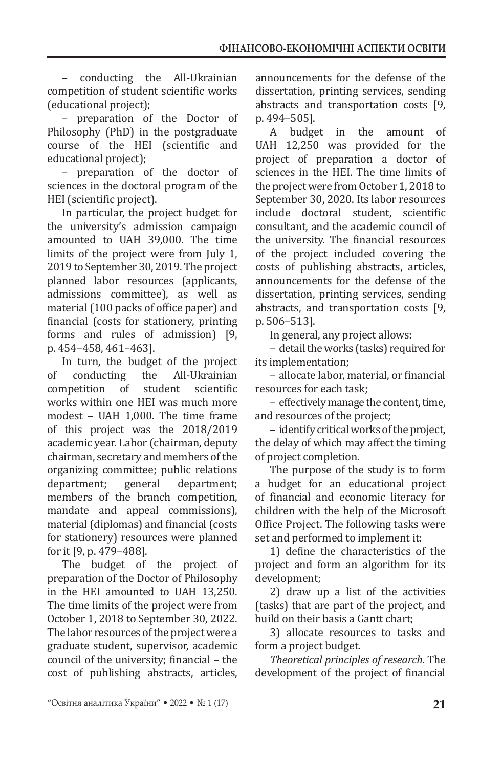– conducting the All-Ukrainian competition of student scientific works (educational project);

– preparation of the Doctor of Philosophy (PhD) in the postgraduate course of the HEI (scientific and educational project);

– preparation of the doctor of sciences in the doctoral program of the HEI (scientific project).

In particular, the project budget for the university's admission campaign amounted to UAH 39,000. The time limits of the project were from July 1, 2019 to September 30, 2019. The project planned labor resources (applicants, admissions committee), as well as material (100 packs of office paper) and financial (costs for stationery, printing forms and rules of admission) [9, p. 454–458, 461–463].

In turn, the budget of the project<br>conducting the All-Ukrainian of conducting the All-Ukrainian<br>competition of student scientific competition works within one HEI was much more modest – UAH 1,000. The time frame of this project was the 2018/2019 academic year. Labor (chairman, deputy chairman, secretary and members of the organizing committee; public relations<br>department; general department; department; members of the branch competition, mandate and appeal commissions), material (diplomas) and financial (costs for stationery) resources were planned for it [9, p. 479–488].

The budget of the project of preparation of the Doctor of Philosophy in the HEI amounted to UAH 13,250. The time limits of the project were from October 1, 2018 to September 30, 2022. The labor resources of the project were a graduate student, supervisor, academic council of the university; financial – the cost of publishing abstracts, articles, announcements for the defense of the dissertation, printing services, sending abstracts and transportation costs [9, p. 494–505].

A budget in the amount of UAH 12,250 was provided for the project of preparation a doctor of sciences in the HEI. The time limits of the project were from October 1, 2018 to September 30, 2020. Its labor resources include doctoral student, scientific consultant, and the academic council of the university. The financial resources of the project included covering the costs of publishing abstracts, articles, announcements for the defense of the dissertation, printing services, sending abstracts, and transportation costs [9, p. 506–513].

In general, any project allows:

– detail the works (tasks) required for its implementation;

– allocate labor, material, or financial resources for each task;

– effectively manage the content, time, and resources of the project;

– identify critical works of the project, the delay of which may affect the timing of project completion.

The purpose of the study is to form a budget for an educational project of financial and economic literacy for children with the help of the Microsoft Office Project. The following tasks were set and performed to implement it:

1) define the characteristics of the project and form an algorithm for its development;

2) draw up a list of the activities (tasks) that are part of the project, and build on their basis a Gantt chart;

3) allocate resources to tasks and form a project budget.

*Theoretical principles of research*. The development of the project of financial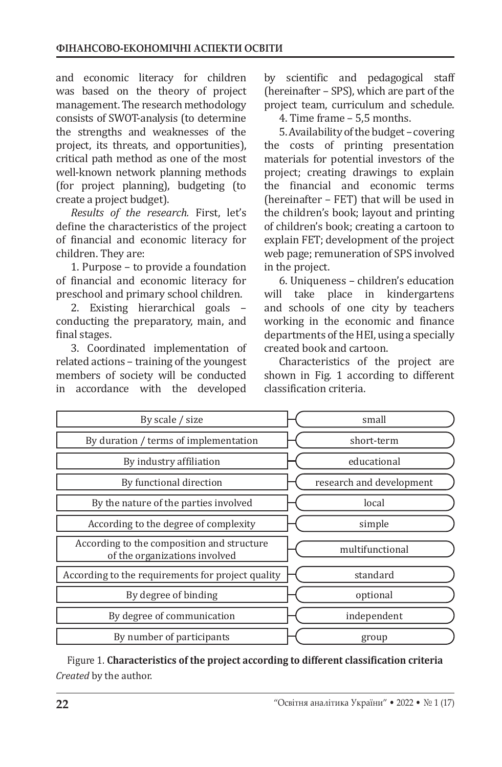and economic literacy for children was based on the theory of project management. The research methodology consists of SWOT-analysis (to determine the strengths and weaknesses of the project, its threats, and opportunities), critical path method as one of the most well-known network planning methods (for project planning), budgeting (to create a project budget).

*Results of the research.* First, let's define the characteristics of the project of financial and economic literacy for children. They are:

1. Purpose – to provide a foundation of financial and economic literacy for preschool and primary school children.

2. Existing hierarchical goals – conducting the preparatory, main, and final stages.

3. Coordinated implementation of related actions – training of the youngest members of society will be conducted in accordance with the developed by scientific and pedagogical staff (hereinafter – SPS), which are part of the project team, curriculum and schedule.

4. Time frame – 5,5 months.

5. Availability of the budget– covering the costs of printing presentation materials for potential investors of the project; creating drawings to explain the financial and economic terms (hereinafter – FET) that will be used in the children's book; layout and printing of children's book; creating a cartoon to explain FET; development of the project web page; remuneration of SPS involved in the project.

6. Uniqueness – children's education take place in kindergartens and schools of one city by teachers working in the economic and finance departments of the HEI, using a specially created book and cartoon.

Characteristics of the project are shown in Fig. 1 according to different classification criteria.

| By scale / size                                                             | small                    |
|-----------------------------------------------------------------------------|--------------------------|
| By duration / terms of implementation                                       | short-term               |
| By industry affiliation                                                     | educational              |
| By functional direction                                                     | research and development |
| By the nature of the parties involved                                       | local                    |
| According to the degree of complexity                                       | simple                   |
| According to the composition and structure<br>of the organizations involved | multifunctional          |
| According to the requirements for project quality                           | standard                 |
| By degree of binding                                                        | optional                 |
| By degree of communication                                                  | independent              |
| By number of participants                                                   | group                    |

Figure 1. **Characteristics of the project according to different classification criteria** *Created* by the author.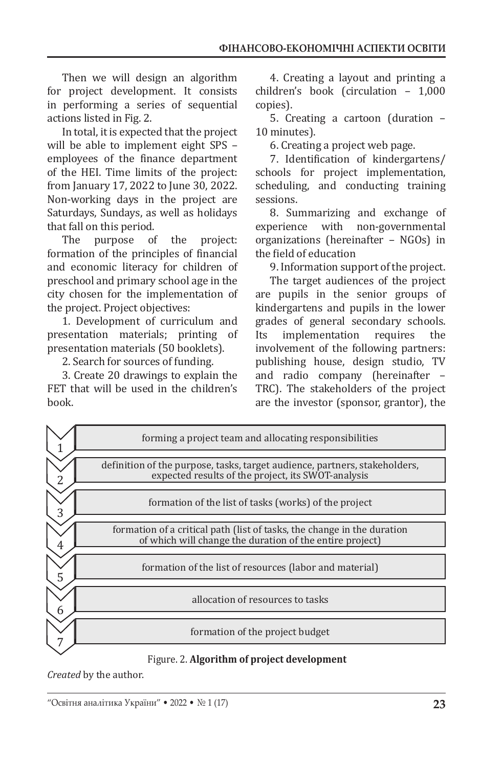Then we will design an algorithm for project development. It consists in performing a series of sequential actions listed in Fig. 2.

In total, it is expected that the project will be able to implement eight SPS – employees of the finance department of the HEI. Time limits of the project: from January 17, 2022 to June 30, 2022. Non-working days in the project are Saturdays, Sundays, as well as holidays that fall on this period.

purpose of the project: formation of the principles of financial and economic literacy for children of preschool and primary school age in the city chosen for the implementation of the project. Project objectives:

1. Development of curriculum and presentation materials; printing of presentation materials (50 booklets).

2. Search for sources of funding.

3. Create 20 drawings to explain the FET that will be used in the children's book.

4. Creating a layout and printing a children's book (circulation – 1,000 copies).

5. Creating a cartoon (duration – 10 minutes).

6. Creating a project web page.

7. Identification of kindergartens/ schools for project implementation, scheduling, and conducting training sessions.

8. Summarizing and exchange of with non-governmental organizations (hereinafter – NGOs) in the field of education

9. Information support of the project.

The target audiences of the project are pupils in the senior groups of kindergartens and pupils in the lower grades of general secondary schools.<br>Its implementation requires the implementation involvement of the following partners: publishing house, design studio, TV and radio company (hereinafter – TRC). The stakeholders of the project are the investor (sponsor, grantor), the



Figure. 2. **Algorithm of project development**

*Created* by the author.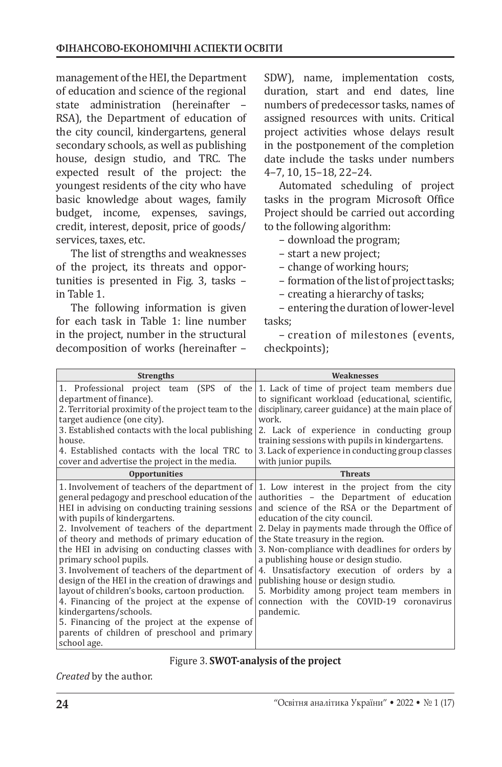management of the HEI, the Department of education and science of the regional state administration (hereinafter – RSA), the Department of education of the city council, kindergartens, general secondary schools, as well as publishing house, design studio, and TRC. The expected result of the project: the youngest residents of the city who have basic knowledge about wages, family budget, income, expenses, savings, credit, interest, deposit, price of goods/ services, taxes, etc.

The list of strengths and weaknesses of the project, its threats and opportunities is presented in Fig. 3, tasks – in Table 1.

The following information is given for each task in Table 1: line number in the project, number in the structural decomposition of works (hereinafter –

SDW), name, implementation costs, duration, start and end dates, line numbers of predecessor tasks, names of assigned resources with units. Critical project activities whose delays result in the postponement of the completion date include the tasks under numbers 4–7, 10, 15–18, 22–24.

Automated scheduling of project tasks in the program Microsoft Office Project should be carried out according to the following algorithm:

– download the program;

- start a new project;
- change of working hours;

– formation of the list of project tasks;

– creating a hierarchy of tasks;

– entering the duration of lower-level tasks;

– creation of milestones (events, checkpoints);

| <b>Strengths</b>                                                                                                                                                                                                                                                                                                                                                                                                                                                                                                                                                                                                                                                       | Weaknesses                                                                                                                                                                                                                                                                                                                                                                                                                                                                                                                                                                                                      |
|------------------------------------------------------------------------------------------------------------------------------------------------------------------------------------------------------------------------------------------------------------------------------------------------------------------------------------------------------------------------------------------------------------------------------------------------------------------------------------------------------------------------------------------------------------------------------------------------------------------------------------------------------------------------|-----------------------------------------------------------------------------------------------------------------------------------------------------------------------------------------------------------------------------------------------------------------------------------------------------------------------------------------------------------------------------------------------------------------------------------------------------------------------------------------------------------------------------------------------------------------------------------------------------------------|
| department of finance).<br>2. Territorial proximity of the project team to the<br>target audience (one city).<br>3. Established contacts with the local publishing<br>house.<br>4. Established contacts with the local TRC to<br>cover and advertise the project in the media.                                                                                                                                                                                                                                                                                                                                                                                         | 1. Professional project team (SPS of the 1. Lack of time of project team members due<br>to significant workload (educational, scientific,<br>disciplinary, career guidance) at the main place of<br>work.<br>2. Lack of experience in conducting group<br>training sessions with pupils in kindergartens.<br>3. Lack of experience in conducting group classes<br>with junior pupils.                                                                                                                                                                                                                           |
| <b>Opportunities</b>                                                                                                                                                                                                                                                                                                                                                                                                                                                                                                                                                                                                                                                   | <b>Threats</b>                                                                                                                                                                                                                                                                                                                                                                                                                                                                                                                                                                                                  |
| general pedagogy and preschool education of the<br>HEI in advising on conducting training sessions<br>with pupils of kindergartens.<br>2. Involvement of teachers of the department<br>of theory and methods of primary education of<br>the HEI in advising on conducting classes with<br>primary school pupils.<br>3. Involvement of teachers of the department of<br>design of the HEI in the creation of drawings and<br>layout of children's books, cartoon production.<br>4. Financing of the project at the expense of<br>kindergartens/schools.<br>5. Financing of the project at the expense of<br>parents of children of preschool and primary<br>school age. | 1. Involvement of teachers of the department of $\vert$ 1. Low interest in the project from the city<br>authorities - the Department of education<br>and science of the RSA or the Department of<br>education of the city council.<br>2. Delay in payments made through the Office of<br>the State treasury in the region.<br>3. Non-compliance with deadlines for orders by<br>a publishing house or design studio.<br>4. Unsatisfactory execution of orders by a<br>publishing house or design studio.<br>5. Morbidity among project team members in<br>connection with the COVID-19 coronavirus<br>pandemic. |

### Figure 3. **SWOT-analysis of the project**

*Created* by the author.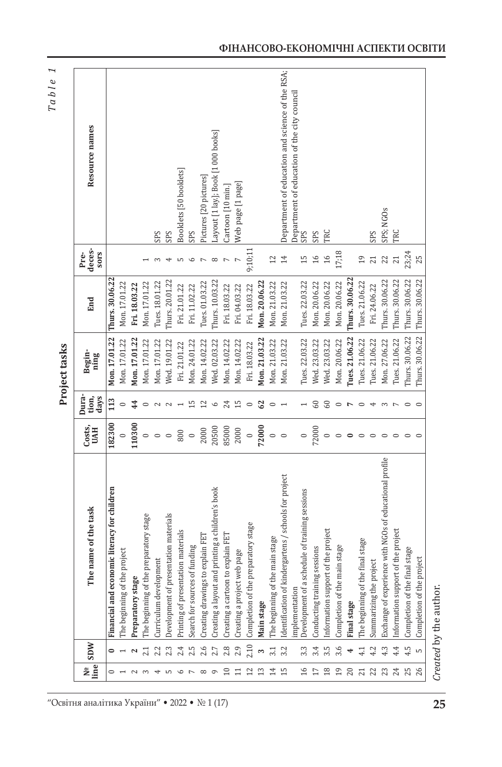Table 1 *Table 1*

| í      |
|--------|
| ř<br>ı |
|        |
| ۴      |
| ٠      |
|        |
|        |
|        |
|        |

| Nº<br>line     | SDW  | e task<br>The name of th                                | Costs,<br><b>UAH</b>                     | Dura-<br>days<br>tion, | Begin-<br>ning  | End             | deces-<br><b>SOTS</b><br>Pre- | Resource names                                  |
|----------------|------|---------------------------------------------------------|------------------------------------------|------------------------|-----------------|-----------------|-------------------------------|-------------------------------------------------|
| $\circ$        | 0    | for children<br>Financial and economic literacy         | 182300                                   | 113                    | Mon. 17.01.22   | Thurs. 30.06.22 |                               |                                                 |
|                |      | The beginning of the project                            |                                          |                        | Mon. 17.01.22   | Mon. 17.01.22   |                               |                                                 |
|                |      | Preparatory stage                                       | 110300                                   | 44                     | Mon. 17.01.22   | Fri. 18.03.22   |                               |                                                 |
|                |      | stage<br>The beginning of the preparatory               | $\circ$                                  |                        | Mon. 17.01.22   | Mon. 17.01.22   |                               |                                                 |
|                |      | Curriculum development                                  | $\circ$ $\circ$                          | $\sim$                 | Mon. 17.01.22   | Tues. 18.01.22  |                               | SPS                                             |
|                |      | Development of presentation materials                   |                                          | $\mathbf{\sim}$        | Wed. 19.01.22   | Thurs. 20.01.22 |                               | SPS                                             |
|                | 2.4  | Printing of presentation materials                      | 800                                      |                        | Fri. 21.01.22   | Fri. 21.01.22   |                               | Booklets [50 booklets]                          |
|                | 2.5  | Search for sources of funding                           | $\begin{array}{c} 0 \\ 2000 \end{array}$ | 끄                      | Mon. 24.01.22   | Fri. 11.02.22   | ७                             | SPS                                             |
|                | 2.6  | Creating drawings to explain FET                        |                                          | $^{12}$                | Mon. 14.02.22   | Tues. 01.03.22  |                               | Pictures [20 pictures]                          |
|                | 2.7  | Creating a layout and printing a children's book        | 20500                                    | $\circ$                | Wed. 02.03.22   | Thurs. 10.03.22 | $\infty$                      | Layout [1 lay.]; Book [1 000 books]             |
|                | 2.8  | Creating a cartoon to explain FET                       | 85000                                    | 24                     | Mon. 14.02.22   | Fri. 18.03.22   |                               | Cartoon [10 min.]                               |
|                | 2.9  | Creating a project web page                             | 2000                                     | $\overline{15}$        | Mon. 14.02.22   | Fri. 04.03.22   |                               | Web page [1 page]                               |
|                | 2.10 | Completion of the preparatory stage                     | $\circ$                                  | $\circ$                | Fri. 18.03.22   | Fri. 18.03.22   | 9;10;11                       |                                                 |
|                |      | Main stage                                              | 72000                                    | 62                     | Mon. 21.03.22   | Mon. 20.06.22   |                               |                                                 |
| 14             | 3.1  | The beginning of the main stage                         | $\circ$ $\circ$                          | $\circ$                | Mon. 21.03.22   | Mon. 21.03.22   | 12                            |                                                 |
| 15             | 3.2  | Identification of kindergartens / schools for project   |                                          |                        | Mon. 21.03.22   | Mon. 21.03.22   | 14                            | Department of education and science of the RSA; |
|                |      | implementation                                          |                                          |                        |                 |                 |                               | Department of education of the city council     |
| $\mathfrak{g}$ | 3.3  | ning sessions<br>Development of a schedule of train     | $\circ$                                  |                        | Tues. 22.03.22  | Tues. 22.03.22  | $\frac{5}{1}$                 | SPS                                             |
|                | 3.4  | Conducting training sessions                            | 72000                                    | 60                     | Wed. 23.03.22   | Mon. 20.06.22   | 16                            | SPS                                             |
| $^{18}$        | 3.5  | Information support of the project                      |                                          | $^{60}$                | Wed. 23.03.22   | Mon. 20.06.22   | $\frac{6}{1}$                 | TRC                                             |
| 19             | 3.6  | Completion of the main stage                            |                                          | $\circ$                | Mon. 20.06.22   | Mon. 20.06.22   | 17;18                         |                                                 |
| $\overline{c}$ |      | <b>Final stage</b>                                      |                                          | $\overline{ }$         | Tues. 21.06.22  | Thurs. 30.06.22 |                               |                                                 |
| 21             | 4.1  | The beginning of the final stage                        | ⊂                                        | $\circ$                | Tues. 21.06.22  | Tues. 21.06.22  | 19                            |                                                 |
| 22             | 4.2  | Summarizing the project                                 |                                          | ↤                      | Tues. 21.06.22  | Fri. 24.06.22   | 21                            | SPS                                             |
| 23             |      | Exchange of experience with NGOs of educational profile | $\circ$                                  | S                      | Mon. 27.06.22   | Thurs. 30.06.22 |                               | SPS; NGOs                                       |
| 24             | 4.4  | Information support of the project                      |                                          | $\overline{ }$         | Tues. 21.06.22  | Thurs. 30.06.22 |                               | TRC                                             |
|                | 4.5  | Completion of the final stage                           |                                          |                        | Thurs. 30.06.22 | Thurs. 30.06.22 | 23;24                         |                                                 |
| 26             | LO   | Completion of the project                               |                                          |                        | Thurs. 30.06.22 | Thurs. 30.06.22 | 25                            |                                                 |

Created by the author. *Created* by the author.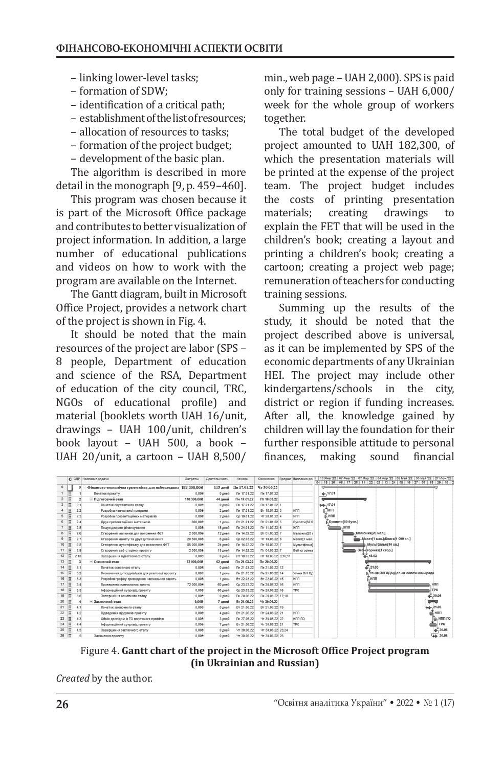- linking lower-level tasks;
- formation of SDW;
- identification of a critical path;
- establishment of the list of resources;
- allocation of resources to tasks;
- formation of the project budget;
- development of the basic plan.

The algorithm is described in more detail in the monograph [9, p. 459–460].

This program was chosen because it is part of the Microsoft Office package and contributes to better visualization of project information. In addition, a large number of educational publications and videos on how to work with the program are available on the Internet.

The Gantt diagram, built in Microsoft Office Project, provides a network chart of the project is shown in Fig. 4.

It should be noted that the main resources of the project are labor (SPS – 8 people, Department of education and science of the RSA, Department of education of the city council, TRC, NGOs of educational profile) and material (booklets worth UAH 16/unit, drawings – UAH 100/unit, children's book layout – UAH 500, a book – UAH 20/unit, a cartoon – UAH 8,500/ min., web page – UAH 2,000). SPS is paid only for training sessions – UAH 6,000/ week for the whole group of workers together.

The total budget of the developed project amounted to UAH 182,300, of which the presentation materials will be printed at the expense of the project team. The project budget includes the costs of printing presentation<br>materials; creating drawings to materials; creating drawings to explain the FET that will be used in the children's book; creating a layout and printing a children's book; creating a cartoon; creating a project web page; remuneration of teachers for conducting training sessions.

Summing up the results of the study, it should be noted that the project described above is universal, as it can be implemented by SPS of the economic departments of any Ukrainian HEI. The project may include other<br>kindergartens/schools in the citv. kindergartens/schools in the district or region if funding increases. After all, the knowledge gained by children will lay the foundation for their further responsible attitude to personal<br>finances, making sound financial making

|                |                         |          | <b>6</b> СДР Название задачи                                 | Затраты     | Длительность | Начало           | Окончание           | Предше Названия ре- |  |                   |                |  |                  |                                         |  |  |     | 10 Янв '22 07 Фев '22 07 Мар '22 04 Апр '22 02 Май '22 30 Май '22 27 Июн '22<br>04   15   26   06   17   28   11   22   02   13   24   05   16   27   07   18   29   10   2 |  |
|----------------|-------------------------|----------|--------------------------------------------------------------|-------------|--------------|------------------|---------------------|---------------------|--|-------------------|----------------|--|------------------|-----------------------------------------|--|--|-----|-----------------------------------------------------------------------------------------------------------------------------------------------------------------------------|--|
| $\mathbf{0}$   |                         | $\theta$ | Фінансово-економічна грамотність для наймолодших 182 300.008 |             | 113 дней     | Пн 17.01.22      | Чт 30.06.22         |                     |  |                   |                |  |                  |                                         |  |  |     |                                                                                                                                                                             |  |
|                | 匣                       |          | Початок проекту                                              | 0.008       | 0 дней       | Пн 17.01.22      | Пн 17.01.22         |                     |  | 4.17.01           |                |  |                  |                                         |  |  |     |                                                                                                                                                                             |  |
| $\overline{2}$ | E                       |          | <b>Підготовчий етап</b>                                      | 110 300,008 | 44 дней      | Пн 17.01.22      | Пт 18.03.22         |                     |  |                   |                |  |                  |                                         |  |  |     |                                                                                                                                                                             |  |
|                |                         | 2.1      | Початок підготовчого етапу                                   | 0,008       | 0 дней       | Пн 17.01.22      | Пн 17.01.22 1       |                     |  | 40,17.01          |                |  |                  |                                         |  |  |     |                                                                                                                                                                             |  |
|                | Ξ                       | 2.2      | Розробка навчальної програми                                 | 0.008       | 2 дней       | Пн 17.01.22      | BT 18.01.22 3       | HNN                 |  | нпп,              |                |  |                  |                                         |  |  |     |                                                                                                                                                                             |  |
| 5              | $\overline{\mathbf{x}}$ | 2.3      | Розробка презентаційних матеріалів                           | 0.008       | 2 дней       | Cp 19.01.22      | Yr 20.01.22 4       | HNN                 |  | . нпп             |                |  |                  |                                         |  |  |     |                                                                                                                                                                             |  |
|                | 冒                       | 2.4      | Друк презентаційних матеріалів                               | 800.008     | 1 день       | FT 21.01.22      | TT 21.01.22 5       | <b>БуклетиГ50 б</b> |  | Буклети[50 букл.] |                |  |                  |                                         |  |  |     |                                                                                                                                                                             |  |
|                | Ξ                       | 2.5      | Пошук джерел фінансування                                    | 0.008       | 15 дней      | Пм 24.01.22      | Пт 11.02.22 6       | HNN                 |  |                   | H <sub>n</sub> |  |                  |                                         |  |  |     |                                                                                                                                                                             |  |
|                | $\overline{\mathbf{x}}$ | 2.6      | Створення малюнків для пояснення ФЕТ                         | 2 000.008   | 12 дней      | Пн 14.02.22      | BT 01.03.22 7       | Малюнки[20]         |  |                   |                |  | Малюнки[20 мал.] |                                         |  |  |     |                                                                                                                                                                             |  |
| $\overline{9}$ | E                       | 2.7      | Створення макету та друк дитячої книги                       | 20 500,008  | 6 дней       | Cp 02.03.22      | Yr 10.03.22 8       | Макеті1 мак.        |  |                   |                |  |                  | Makerf1 мак.]:Книгаf1 000 кн.]          |  |  |     |                                                                                                                                                                             |  |
| 10             | R                       | 2.8      | Створення мультфільму для пояснення ФЕТ                      | 85 000,008  | 24 дней      | Пн 14.02.22      | Пт 18.03.22 7       | <b>Мультфільм</b>   |  |                   |                |  |                  | Мультфільм[10 хв.]                      |  |  |     |                                                                                                                                                                             |  |
| 11             | Ξ                       | 2.9      | Створення веб-сторінки проєкту                               | 2 000.008   | 15 дней      | Пн 14.02.22      | RT 04.03.22 7       | Веб-сторінка        |  |                   |                |  |                  | Bed-dropiнка[1 стор.]                   |  |  |     |                                                                                                                                                                             |  |
| 12             | Ħ                       | 2.10     | Завершення підготовчого етапу                                | 0.008       | 0 дней       | $\Pi$ T 18.03.22 | TT 18.03.22 9:10:11 |                     |  |                   |                |  | 4, 18.03         |                                         |  |  |     |                                                                                                                                                                             |  |
| 13             | 屇                       | 3        | <b>• Основний етап</b>                                       | 72 000,008  | 62 дней      | Пн 21.03.22      | Пн 20.06.22         |                     |  |                   |                |  |                  |                                         |  |  |     |                                                                                                                                                                             |  |
| 14             | E                       | 3.1      | Початок основного етапу                                      | 0.008       | 0 дней       | Пн 21.03.22      | Пн 21.03.22 12      |                     |  |                   |                |  | 21.03            |                                         |  |  |     |                                                                                                                                                                             |  |
| 15             | $\overline{\mathbf{x}}$ | 3.2      | Визначення дитсадків/шкіл для реалізації проекту             | 0.008       | 1 день       | Пн 21.03.22      | Пн 21.03.22 14      | Уп-ня ОН OE         |  |                   |                |  |                  | . Уп-ня ОіН ОДА:Деп-нт освіти міськради |  |  |     |                                                                                                                                                                             |  |
| 16             | $\overline{a}$          | 3.3      | Розробка графіку проведення навчальних занять                | 0.008       | 1 день       | BT 22.03.22      | BT 22.03.22 15      | HNN                 |  |                   |                |  | (нпп             |                                         |  |  |     |                                                                                                                                                                             |  |
| 17             | $\overline{\mathbf{x}}$ | 3.4      | Проведення навчальних занять                                 | 72 000,008  | 60 дней      | Cp 23.03.22      | Пн 20.06.22 16      | HNN                 |  |                   |                |  |                  |                                         |  |  | Hnn |                                                                                                                                                                             |  |
| 18             | $\overline{a}$          | 3.5      | Інформаційний супровід проєкту                               | 0.008       | 60 дней      | Cp 23.03.22      | Пн 20.06.22 16      | <b>TPK</b>          |  |                   |                |  |                  |                                         |  |  | TPK |                                                                                                                                                                             |  |
| 19             | 匡                       | 3.6      | Завершення основного етапу                                   | 0,008       | 0 дней       | Пн 20.06.22      | Пи 20.06.22 17:18   |                     |  |                   |                |  |                  |                                         |  |  |     | 20.06                                                                                                                                                                       |  |
| 20             | 冨                       | A        | - Заключний етал                                             | 0.008       | 7 дней       | BT 21.06.22      | Yr 30,06.22         |                     |  |                   |                |  |                  |                                         |  |  |     |                                                                                                                                                                             |  |
| 21             | $\overline{u}$          | 4.1      | Початок заключного етапу                                     | 0.008       | 0 дней       | BT 21.06.22      | BT 21.06.22 19      |                     |  |                   |                |  |                  |                                         |  |  |     | 21.06                                                                                                                                                                       |  |
| 22             | Ξ                       | 4.2      | Підведення підсумків проєкту                                 | 0,008       | 4 дней       | BT 21.06.22      | Пт 24.06.22 21      | HNN                 |  |                   |                |  |                  |                                         |  |  |     | Г нпп                                                                                                                                                                       |  |
| 23             | $\overline{a}$          | 4.3      | Обмін досвідом із ГО освітнього профілю                      | 0.008       | 3 дней       | Пн 27.06.22      | Yr 30.06.22 22      | HNN:FO              |  |                   |                |  |                  |                                         |  |  |     | HITH: FO                                                                                                                                                                    |  |
| 24             | 厦                       | 4.4      | Інформаційний супровід проєкту                               | 0,008       | 7 дней       | BT 21.06.22      | Yr 30.06.22 21      | <b>TPK</b>          |  |                   |                |  |                  |                                         |  |  |     | <b>TPK</b>                                                                                                                                                                  |  |
| 25             | $\overline{\mathbb{R}}$ | 4.5      | Завершення заключного етапу                                  | 0.008       | 0 дней       | Yr 30.06.22      | Yr 30.06.22 23:24   |                     |  |                   |                |  |                  |                                         |  |  |     | 4.30.06                                                                                                                                                                     |  |
| 26             | 带                       |          | Закінчення проекту                                           | 0.008       | 0 дней       | Yr 30.06.22      | Yr 30.06.22 25      |                     |  |                   |                |  |                  |                                         |  |  |     | 44.30.06                                                                                                                                                                    |  |

Figure 4. **Gantt chart of the project in the Microsoft Office Project program (in Ukrainian and Russian)**

*Created* by the author.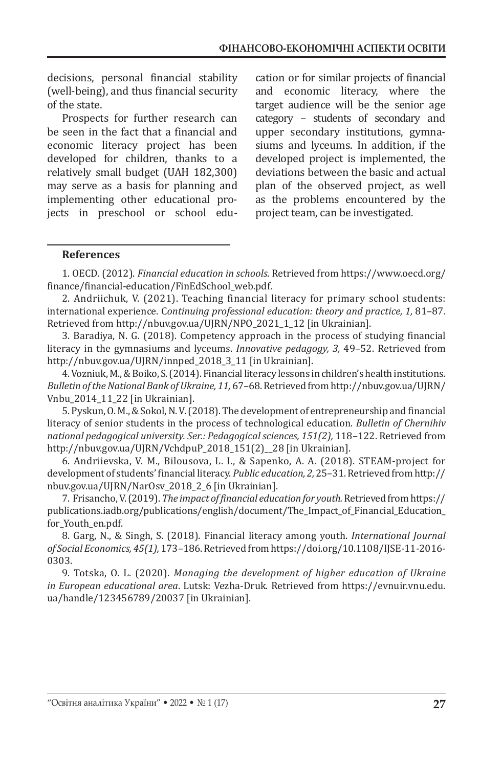decisions, personal financial stability (well-being), and thus financial security of the state.

Prospects for further research can be seen in the fact that a financial and economic literacy project has been developed for children, thanks to a relatively small budget (UAH 182,300) may serve as a basis for planning and implementing other educational projects in preschool or school education or for similar projects of financial and economic literacy, where the target audience will be the senior age category – students of secondary and upper secondary institutions, gymnasiums and lyceums. In addition, if the developed project is implemented, the deviations between the basic and actual plan of the observed project, as well as the problems encountered by the project team, can be investigated.

#### **References**

1. OECD. (2012). *Financial education in schools*. Retrieved from https://www.oecd.org/ finance/financial-education/FinEdSchool\_web.pdf.

2. Andriichuk, V. (2021). Teaching financial literacy for primary school students: international experience. C*ontinuing professional education: theory and practice, 1,* 81–87. Retrieved from http://nbuv.gov.ua/UJRN/NPO\_2021\_1\_12 [in Ukrainian].

3. Baradiya, N. G. (2018). Competency approach in the process of studying financial literacy in the gymnasiums and lyceums. *Innovative pedagogy, 3,* 49–52. Retrieved from http://nbuv.gov.ua/UJRN/innped\_2018\_3\_11 [in Ukrainian].

4.Vozniuk, М., & Boiko, S. (2014). Financial literacy lessons in children's health institutions. *Bulletin of the National Bank of Ukraine, 11,* 67–68. Retrieved from http://nbuv.gov.ua/UJRN/ Vnbu\_2014\_11\_22 [in Ukrainian].

5. Pyskun, O. M., & Sokol, N. V. (2018). The development of entrepreneurship and financial literacy of senior students in the process of technological education. *Bulletin of Chernihiv national pedagogical university. Ser.: Pedagogical sciences, 151(2),* 118–122. Retrieved from http://nbuv.gov.ua/UJRN/VchdpuP\_2018\_151(2)\_\_28 [in Ukrainian].

6. Andriievska, V. M., Bilousova, L. I., & Sapenko, A. A. (2018). STEAM-project for development of students' financial literacy. *Public education, 2,* 25–31. Retrieved from http:// nbuv.gov.ua/UJRN/NarOsv\_2018\_2\_6 [in Ukrainian].

7. Frisancho, V. (2019). *The impact of financial education for youth.* Retrieved from https:// publications.iadb.org/publications/english/document/The\_Impact\_of\_Financial\_Education\_ for\_Youth\_en.pdf.

8. Garg, N., & Singh, S. (2018). Financial literacy among youth. *International Journal of Social Economics, 45(1),* 173–186. Retrieved from https://doi.org/10.1108/IJSE-11-2016- 0303.

9. Totska, O. L. (2020). *Managing the development of higher education of Ukraine in European educational area*. Lutsk: Vezha-Druk. Retrieved from https://evnuir.vnu.edu. ua/handle/123456789/20037 [in Ukrainian].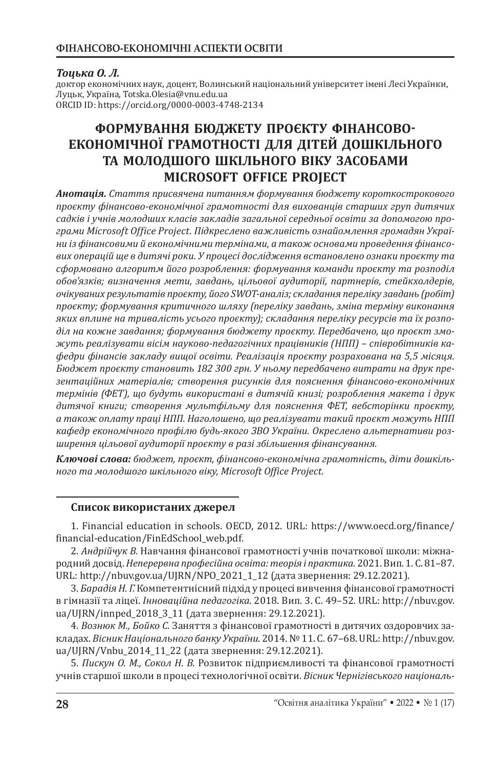## *Тоцька О. Л.*

доктор економічних наук, доцент, Волинський національний університет імені Лесі Українки, Луцьк, Україна, Totska.Olesia@vnu.edu.ua ORCID ID: https://orcid.org/0000-0003-4748-2134

# **ФОРМУВАННЯ БЮДЖЕТУ ПРОЄКТУ ФІНАНСОВО-ЕКОНОМІЧНОЇ ГРАМОТНОСТІ ДЛЯ ДІТЕЙ ДОШКІЛЬНОГО ТА МОЛОДШОГО ШКІЛЬНОГО ВІКУ ЗАСОБАМИ MICROSOFT OFFICE PROJECT**

*Анотація. Стаття присвячена питанням формування бюджету короткострокового проєкту фінансово-економічної грамотності для вихованців старших груп дитячих садків і учнів молодших класів закладів загальної середньої освіти за допомогою програми Microsoft Office Project. Підкреслено важливість ознайомлення громадян України із фінансовими й економічними термінами, а також основами проведення фінансових операцій ще в дитячі роки. У процесі дослідження встановлено ознаки проєкту та сформовано алгоритм його розроблення: формування команди проєкту та розподіл обов'язків; визначення мети, завдань, цільової аудиторії, партнерів, стейкхолдерів, очікуваних результатів проєкту, його SWOT-аналіз; складання переліку завдань (робіт) проєкту; формування критичного шляху (переліку завдань, зміна терміну виконання яких вплине на тривалість усього проєкту); складання переліку ресурсів та їх розподіл на кожне завдання; формування бюджету проєкту. Передбачено, що проєкт зможуть реалізувати вісім науково-педагогічних працівників (НПП) – співробітників кафедри фінансів закладу вищої освіти. Реалізація проєкту розрахована на 5,5 місяця. Бюджет проєкту становить 182 300 грн. У ньому передбачено витрати на друк презентаційних матеріалів; створення рисунків для пояснення фінансово-економічних термінів (ФЕТ), що будуть використані в дитячій книзі; розроблення макета і друк дитячої книги; створення мультфільму для пояснення ФЕТ, вебсторінки проєкту, а також оплату праці НПП. Наголошено, що реалізувати такий проєкт можуть НПП кафедр економічного профілю будь-якого ЗВО України. Окреслено альтернативи розширення цільової аудиторії проєкту в разі збільшення фінансування.*

*Ключові слова: бюджет, проєкт, фінансово-економічна грамотність, діти дошкільного та молодшого шкільного віку, Microsoft Office Project.*

### **Список використаних джерел**

1. Financial education in schools. OECD, 2012. URL: https://www.oecd.org/finance/ financial-education/FinEdSchool\_web.pdf.

2. *Андрійчук В.* Навчання фінансової грамотності учнів початкової школи: міжнародний досвід. *Неперервна професійна освіта: теорія і практика*. 2021. Вип. 1. С. 81–87. URL: http://nbuv.gov.ua/UJRN/NPO\_2021\_1\_12 (дата звернення: 29.12.2021).

3. *Барадія Н. Г.* Компетентнісний підхід у процесі вивчення фінансової грамотності в гімназії та ліцеї. *Інноваційна педагогіка*. 2018. Вип. 3. С. 49–52. URL: http://nbuv.gov. ua/UJRN/innped\_2018\_3\_11 (дата звернення: 29.12.2021).

4. *Вознюк М., Бойко С.* Заняття з фінансової грамотності в дитячих оздоровчих закладах. *Вісник Національного банку України*. 2014. №11. С. 67–68. URL: http://nbuv.gov. ua/UJRN/Vnbu\_2014\_11\_22 (дата звернення: 29.12.2021).

5. *Пискун О. М., Сокол Н. В.* Розвиток підприємливості та фінансової грамотності учнів старшої школи в процесі технологічної освіти. *Вісник Чернігівського національ-*